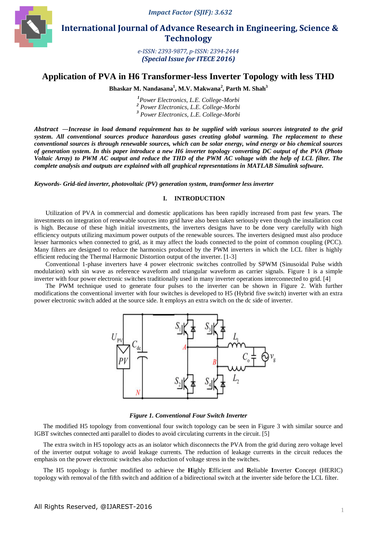

 **International Journal of Advance Research in Engineering, Science & Technology** 

> *e-ISSN: 2393-9877, p-ISSN: 2394-2444 (Special Issue for ITECE 2016)*

# **Application of PVA in H6 Transformer-less Inverter Topology with less THD**

**Bhaskar M. Nandasana<sup>1</sup> , M.V. Makwana<sup>2</sup> , Parth M. Shah<sup>3</sup>**

*1 Power Electronics, L.E. College-Morbi 2 Power Electronics, L.E. College-Morbi 3 Power Electronics, L.E. College-Morbi*

*Abstract* —*Increase in load demand requirement has to be supplied with various sources integrated to the grid system. All conventional sources produce hazardous gases creating global warming. The replacement to these conventional sources is through renewable sources, which can be solar energy, wind energy or bio chemical sources of generation system. In this paper introduce a new H6 inverter topology converting DC output of the PVA (Photo Voltaic Array) to PWM AC output and reduce the THD of the PWM AC voltage with the help of LCL filter. The complete analysis and outputs are explained with all graphical representations in MATLAB Simulink software.*

*Keywords- Grid-tied inverter, photovoltaic (PV) generation system, transformer less inverter*

## **I. INTRODUCTION**

Utilization of PVA in commercial and domestic applications has been rapidly increased from past few years. The investments on integration of renewable sources into grid have also been taken seriously even though the installation cost is high. Because of these high initial investments, the inverters designs have to be done very carefully with high efficiency outputs utilizing maximum power outputs of the renewable sources. The inverters designed must also produce lesser harmonics when connected to grid, as it may affect the loads connected to the point of common coupling (PCC). Many filters are designed to reduce the harmonics produced by the PWM inverters in which the LCL filter is highly efficient reducing the Thermal Harmonic Distortion output of the inverter. [1-3]

Conventional 1-phase inverters have 4 power electronic switches controlled by SPWM (Sinusoidal Pulse width modulation) with sin wave as reference waveform and triangular waveform as carrier signals. Figure 1 is a simple inverter with four power electronic switches traditionally used in many inverter operations interconnected to grid. [4]

The PWM technique used to generate four pulses to the inverter can be shown in Figure 2. With further modifications the conventional inverter with four switches is developed to H5 (Hybrid five switch) inverter with an extra power electronic switch added at the source side. It employs an extra switch on the dc side of inverter.



## *Figure 1. Conventional Four Switch Inverter*

The modified H5 topology from conventional four switch topology can be seen in Figure 3 with similar source and IGBT switches connected anti parallel to diodes to avoid circulating currents in the circuit. [5]

The extra switch in H5 topology acts as an isolator which disconnects the PVA from the grid during zero voltage level of the inverter output voltage to avoid leakage currents. The reduction of leakage currents in the circuit reduces the emphasis on the power electronic switches also reduction of voltage stress in the switches.

The H5 topology is further modified to achieve the **H**ighly **E**fficient and **R**eliable **I**nverter **C**oncept (HERIC) topology with removal of the fifth switch and addition of a bidirectional switch at the inverter side before the LCL filter.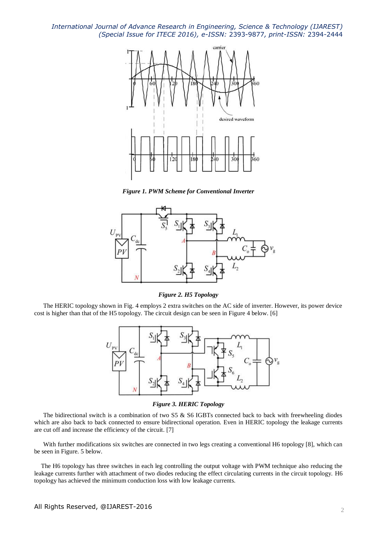

*Figure 1. PWM Scheme for Conventional Inverter*



*Figure 2. H5 Topology*

The HERIC topology shown in Fig. 4 employs 2 extra switches on the AC side of inverter. However, its power device cost is higher than that of the H5 topology. The circuit design can be seen in Figure 4 below. [6]



*Figure 3. HERIC Topology*

The bidirectional switch is a combination of two S5 & S6 IGBTs connected back to back with freewheeling diodes which are also back to back connected to ensure bidirectional operation. Even in HERIC topology the leakage currents are cut off and increase the efficiency of the circuit. [7]

With further modifications six switches are connected in two legs creating a conventional H6 topology [8], which can be seen in Figure. 5 below.

The H6 topology has three switches in each leg controlling the output voltage with PWM technique also reducing the leakage currents further with attachment of two diodes reducing the effect circulating currents in the circuit topology. H6 topology has achieved the minimum conduction loss with low leakage currents.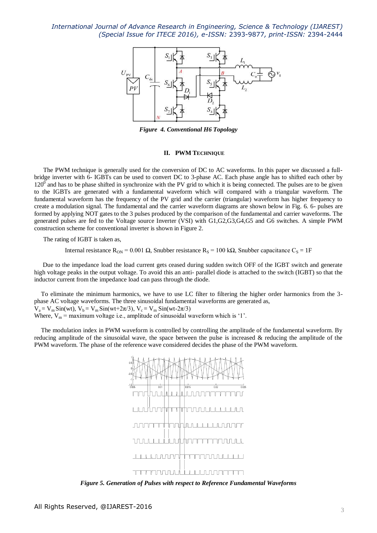

*Figure 4. Conventional H6 Topology*

#### **II. PWM TECHNIQUE**

The PWM technique is generally used for the conversion of DC to AC waveforms. In this paper we discussed a fullbridge inverter with 6- IGBTs can be used to convert DC to 3-phase AC. Each phase angle has to shifted each other by  $120<sup>0</sup>$  and has to be phase shifted in synchronize with the PV grid to which it is being connected. The pulses are to be given to the IGBTs are generated with a fundamental waveform which will compared with a triangular waveform. The fundamental waveform has the frequency of the PV grid and the carrier (triangular) waveform has higher frequency to create a modulation signal. The fundamental and the carrier waveform diagrams are shown below in Fig. 6. 6- pulses are formed by applying NOT gates to the 3 pulses produced by the comparison of the fundamental and carrier waveforms. The generated pulses are fed to the Voltage source Inverter (VSI) with G1,G2,G3,G4,G5 and G6 switches. A simple PWM construction scheme for conventional inverter is shown in Figure 2.

The rating of IGBT is taken as,

Internal resistance R<sub>ON</sub> = 0.001 Ω, Snubber resistance R<sub>S</sub> = 100 kΩ, Snubber capacitance C<sub>S</sub> = 1F

Due to the impedance load the load current gets ceased during sudden switch OFF of the IGBT switch and generate high voltage peaks in the output voltage. To avoid this an anti- parallel diode is attached to the switch (IGBT) so that the inductor current from the impedance load can pass through the diode.

To eliminate the minimum harmonics, we have to use LC filter to filtering the higher order harmonics from the 3 phase AC voltage waveforms. The three sinusoidal fundamental waveforms are generated as,  $V_a = V_m \sin(wt)$ ,  $V_b = V_m \sin(wt+2\pi/3)$ ,  $V_c = V_m \sin(wt-2\pi/3)$ Where,  $V_m$  = maximum voltage i.e., amplitude of sinusoidal waveform which is '1'.

The modulation index in PWM waveform is controlled by controlling the amplitude of the fundamental waveform. By reducing amplitude of the sinusoidal wave, the space between the pulse is increased  $\&$  reducing the amplitude of the PWM waveform. The phase of the reference wave considered decides the phase of the PWM waveform.



*Figure 5. Generation of Pulses with respect to Reference Fundamental Waveforms*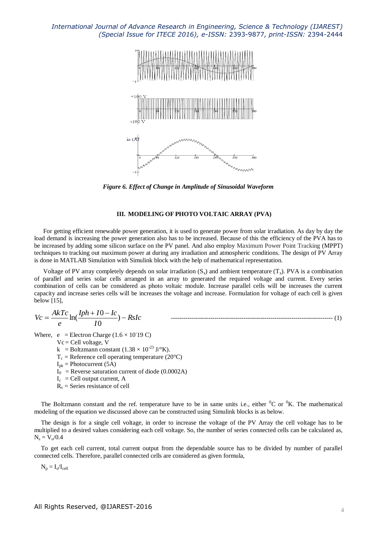

*Figure 6. Effect of Change in Amplitude of Sinusoidal Waveform*

#### **III. MODELING OF PHOTO VOLTAIC ARRAY (PVA)**

For getting efficient renewable power generation, it is used to generate power from solar irradiation. As day by day the load demand is increasing the power generation also has to be increased. Because of this the efficiency of the PVA has to be increased by adding some silicon surface on the PV panel. And also employ Maximum Power Point Tracking (MPPT) techniques to tracking out maximum power at during any irradiation and atmospheric conditions. The design of PV Array is done in MATLAB Simulation with Simulink block with the help of mathematical representation.

Voltage of PV array completely depends on solar irradiation  $(S_x)$  and ambient temperature  $(T_x)$ . PVA is a combination of parallel and series solar cells arranged in an array to generated the required voltage and current. Every series combination of cells can be considered as photo voltaic module. Increase parallel cells will be increases the current capacity and increase series cells will be increases the voltage and increase. Formulation for voltage of each cell is given below [15],

$$
Vc = \frac{AkTc}{e}\ln(\frac{Iph + I0 - Ic}{I0}) - RsIc
$$

Where,  $e$  = Electron Charge (1.6  $\times$  10<sup>-19</sup> C)

 $Vc = Cell voltage, V$ 

k = Boltzmann constant  $(1.38 \times 10^{-23} \text{ J} / ^{\circ}\text{K})$ .

- $T_c$  = Reference cell operating temperature (20 $^{\circ}$ C)
- $I_{\text{ph}}$  = Photocurrent (5A)
- $I_0$  = Reverse saturation current of diode (0.0002A)
- $I_c$  = Cell output current, A
- $R<sub>s</sub>$  = Series resistance of cell

The Boltzmann constant and the ref. temperature have to be in same units i.e., either  ${}^{0}C$  or  ${}^{0}K$ . The mathematical modeling of the equation we discussed above can be constructed using Simulink blocks is as below.

The design is for a single cell voltage, in order to increase the voltage of the PV Array the cell voltage has to be multiplied to a desired values considering each cell voltage. So, the number of series connected cells can be calculated as,  $N_s = V_o / 0.4$ 

To get each cell current, total current output from the dependable source has to be divided by number of parallel connected cells. Therefore, parallel connected cells are considered as given formula,

 $N_p = I_o/I_{cell}$ 

ln( ------------------------------------------------------------------------------ (1)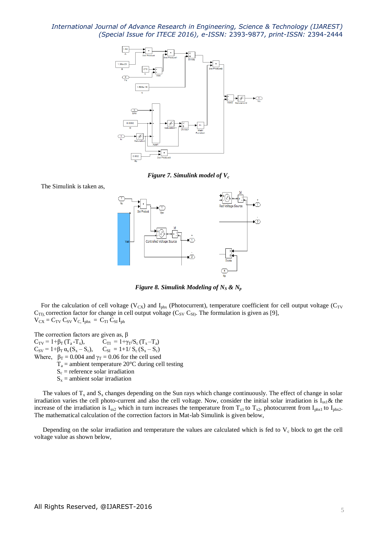

*Figure 7. Simulink model of V<sup>c</sup>*

The Simulink is taken as,



*Figure* 8. *Simulink Modeling of*  $N_S$  &  $N_p$ 

For the calculation of cell voltage ( $V_{CX}$ ) and  $I_{phx}$  (Photocurrent), temperature coefficient for cell output voltage ( $C_{TV}$  $C_{\text{TI}}$ , correction factor for change in cell output voltage ( $C_{\text{SV}} C_{\text{SI}}$ ). The formulation is given as [9],  $V_{CX} = C_{TV} C_{SV} V_{C} I_{phx} = C_{TI} C_{SI} I_{ph}$ 

The correction factors are given as,  $\beta$  $C_{TV} = 1 + \beta_T (T_a - T_x),$   $C_{TI} = 1 + \gamma_T / S_c (T_x - T_a)$  $C_{SV} = 1 + \beta_T \alpha_s (S_x - S_c), \quad C_{SI} = 1 + 1/S_c (S_x - S_c)$ Where,  $\beta_T = 0.004$  and  $\gamma_T = 0.06$  for the cell used  $T_a$  = ambient temperature 20 $\degree$ C during cell testing  $S_c$  = reference solar irradiation  $S_x$  = ambient solar irradiation

The values of  $T_x$  and  $S_x$  changes depending on the Sun rays which change continuously. The effect of change in solar irradiation varies the cell photo-current and also the cell voltage. Now, consider the initial solar irradiation is  $I_{sx1}$ & the increase of the irradiation is  $I_{sx2}$  which in turn increases the temperature from  $T_{x1}$  to  $T_{x2}$ , photocurrent from  $I_{phx1}$  to  $I_{phx2}$ . The mathematical calculation of the correction factors in Mat-lab Simulink is given below,

Depending on the solar irradiation and temperature the values are calculated which is fed to  $V_c$  block to get the cell voltage value as shown below,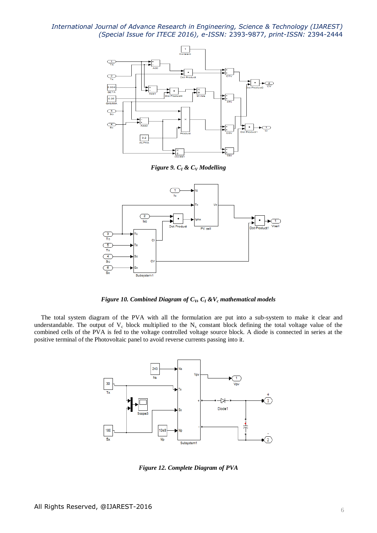

*Figure 9. C<sup>I</sup> & C<sup>V</sup> Modelling*



*Figure 10. Combined Diagram of CV, C<sup>I</sup> &V<sup>c</sup> mathematical models*

The total system diagram of the PVA with all the formulation are put into a sub-system to make it clear and understandable. The output of  $V_c$  block multiplied to the  $N_s$  constant block defining the total voltage value of the combined cells of the PVA is fed to the voltage controlled voltage source block. A diode is connected in series at the positive terminal of the Photovoltaic panel to avoid reverse currents passing into it.



*Figure 12. Complete Diagram of PVA*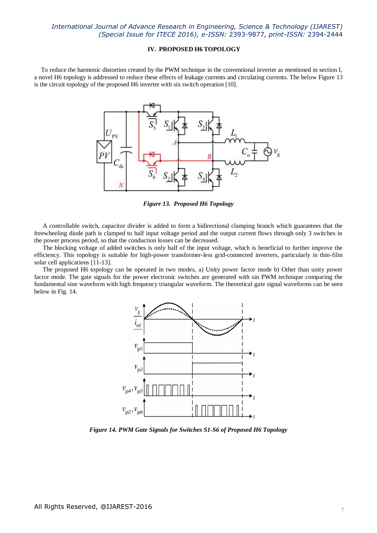# **IV. PROPOSED H6 TOPOLOGY**

To reduce the harmonic distortion created by the PWM technique in the conventional inverter as mentioned in section I, a novel H6 topology is addressed to reduce these effects of leakage currents and circulating currents. The below Figure 13 is the circuit topology of the proposed H6 inverter with six switch operation [10].



*Figure 13. Proposed H6 Topology*

A controllable switch, capacitor divider is added to form a bidirectional clamping branch which guarantees that the freewheeling diode path is clamped to half input voltage period and the output current flows through only 3 switches in the power process period, so that the conduction losses can be decreased.

The blocking voltage of added switches is only half of the input voltage, which is beneficial to further improve the efficiency. This topology is suitable for high-power transformer-less grid-connected inverters, particularly in thin-film solar cell applications [11-13].

The proposed H6 topology can be operated in two modes, a) Unity power factor mode b) Other than unity power factor mode. The gate signals for the power electronic switches are generated with sin PWM technique comparing the fundamental sine waveform with high frequency triangular waveform. The theoretical gate signal waveforms can be seen below in Fig. 14.



*Figure 14. PWM Gate Signals for Switches S1-S6 of Proposed H6 Topology*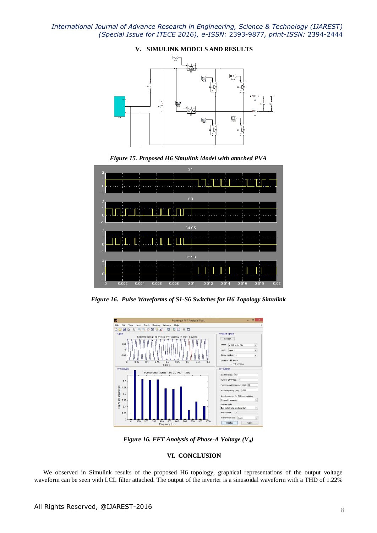

*Figure 15. Proposed H6 Simulink Model with attached PVA*



*Figure 16. Pulse Waveforms of S1-S6 Switches for H6 Topology Simulink*



*Figure 16. FFT Analysis of Phase-A Voltage (VA)*

# **VI. CONCLUSION**

We observed in Simulink results of the proposed H6 topology, graphical representations of the output voltage waveform can be seen with LCL filter attached. The output of the inverter is a sinusoidal waveform with a THD of 1.22%